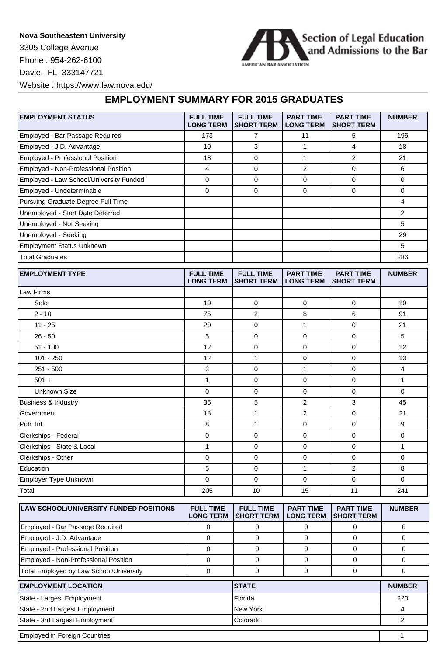## **Nova Southeastern University**

3305 College Avenue Phone : 954-262-6100 Davie, FL 333147721



Website : https://www.law.nova.edu/

## **EMPLOYMENT SUMMARY FOR 2015 GRADUATES**

| <b>EMPLOYMENT STATUS</b>                      | <b>FULL TIME</b><br><b>LONG TERM</b> | <b>FULL TIME</b><br>SHORT TERM        | <b>PART TIME</b><br><b>LONG TERM</b> | <b>PART TIME</b><br><b>SHORT TERM</b> | <b>NUMBER</b>  |
|-----------------------------------------------|--------------------------------------|---------------------------------------|--------------------------------------|---------------------------------------|----------------|
| Employed - Bar Passage Required               | 173                                  | 7                                     | 11                                   | 5                                     | 196            |
| Employed - J.D. Advantage                     | 10                                   | 3                                     | $\mathbf{1}$                         | 4                                     | 18             |
| Employed - Professional Position              | 18                                   | 0                                     | 1                                    | 2                                     | 21             |
| Employed - Non-Professional Position          | $\overline{4}$                       | 0                                     | 2                                    | 0                                     | 6              |
| Employed - Law School/University Funded       | $\mathbf 0$                          | 0                                     | $\mathbf 0$                          | 0                                     | 0              |
| Employed - Undeterminable                     | $\mathbf 0$                          | 0                                     | $\mathbf 0$                          | 0                                     | 0              |
| Pursuing Graduate Degree Full Time            |                                      |                                       |                                      |                                       | 4              |
| Unemployed - Start Date Deferred              |                                      |                                       |                                      |                                       | $\overline{2}$ |
| Unemployed - Not Seeking                      |                                      |                                       |                                      |                                       | 5              |
| Unemployed - Seeking                          |                                      |                                       |                                      |                                       | 29             |
| <b>Employment Status Unknown</b>              |                                      |                                       |                                      |                                       | 5              |
| <b>Total Graduates</b>                        |                                      |                                       |                                      |                                       | 286            |
| <b>EMPLOYMENT TYPE</b>                        | <b>FULL TIME</b><br><b>LONG TERM</b> | <b>FULL TIME</b><br><b>SHORT TERM</b> | <b>PART TIME</b><br><b>LONG TERM</b> | <b>PART TIME</b><br><b>SHORT TERM</b> | <b>NUMBER</b>  |
| Law Firms                                     |                                      |                                       |                                      |                                       |                |
| Solo                                          | 10                                   | 0                                     | 0                                    | 0                                     | 10             |
| $2 - 10$                                      | 75                                   | $\overline{2}$                        | 8                                    | 6                                     | 91             |
| $11 - 25$                                     | 20                                   | 0                                     | 1                                    | 0                                     | 21             |
| $26 - 50$                                     | 5                                    | 0                                     | $\mathbf 0$                          | 0                                     | 5              |
| $51 - 100$                                    | 12                                   | 0                                     | $\mathbf 0$                          | 0                                     | 12             |
| 101 - 250                                     | 12                                   | $\mathbf{1}$                          | $\mathbf 0$                          | 0                                     | 13             |
| 251 - 500                                     | 3                                    | $\overline{0}$                        | $\mathbf{1}$                         | $\overline{0}$                        | 4              |
| $501 +$                                       | $\mathbf{1}$                         | 0                                     | $\mathbf 0$                          | 0                                     | $\mathbf{1}$   |
| <b>Unknown Size</b>                           | $\mathbf 0$                          | 0                                     | 0                                    | 0                                     | 0              |
| <b>Business &amp; Industry</b>                | 35                                   | 5                                     | $\overline{2}$                       | 3                                     | 45             |
| Government                                    | 18                                   | $\mathbf{1}$                          | $\overline{2}$                       | 0                                     | 21             |
| Pub. Int.                                     | 8                                    | $\mathbf{1}$                          | $\mathbf 0$                          | 0                                     | 9              |
| Clerkships - Federal                          | $\mathbf 0$                          | 0                                     | $\mathbf 0$                          | $\overline{0}$                        | 0              |
| Clerkships - State & Local                    | 1                                    | 0                                     | 0                                    | 0                                     | 1              |
| Clerkships - Other                            | $\mathbf 0$                          | 0                                     | $\mathbf 0$                          | 0                                     | 0              |
| Education                                     | 5                                    | 0                                     | $\mathbf{1}$                         | 2                                     | 8              |
| Employer Type Unknown                         | $\mathbf 0$                          | $\mathbf 0$                           | $\mathbf 0$                          | 0                                     | 0              |
| Total                                         | 205                                  | 10                                    | 15                                   | 11                                    | 241            |
| <b>LAW SCHOOL/UNIVERSITY FUNDED POSITIONS</b> | <b>FULL TIME</b><br><b>LONG TERM</b> | <b>FULL TIME</b><br><b>SHORT TERM</b> | <b>PART TIME</b><br><b>LONG TERM</b> | <b>PART TIME</b><br><b>SHORT TERM</b> | <b>NUMBER</b>  |
| Employed - Bar Passage Required               | $\mathbf 0$                          | 0                                     | $\mathbf 0$                          | 0                                     | $\mathbf 0$    |

| $Q_{\text{total}} = 1$ and $\alpha = 1$ $\sum_{i=1}^{n} a_i$ |  | المتسامير التتل | $\sim$        |  |
|--------------------------------------------------------------|--|-----------------|---------------|--|
| <b>EMPLOYMENT LOCATION</b>                                   |  | <b>ISTATE</b>   | <b>NUMBER</b> |  |
| Total Employed by Law School/University                      |  |                 |               |  |
| Employed - Non-Professional Position                         |  |                 |               |  |
| <b>Employed - Professional Position</b>                      |  |                 |               |  |
| Employed - J.D. Advantage                                    |  |                 |               |  |
|                                                              |  |                 |               |  |

| State - Largest Employment           | <b>I</b> Florida  | 220 |
|--------------------------------------|-------------------|-----|
| State - 2nd Largest Employment       | <b>New York</b>   |     |
| State - 3rd Largest Employment       | <b>I</b> Colorado |     |
| <b>Employed in Foreign Countries</b> |                   |     |